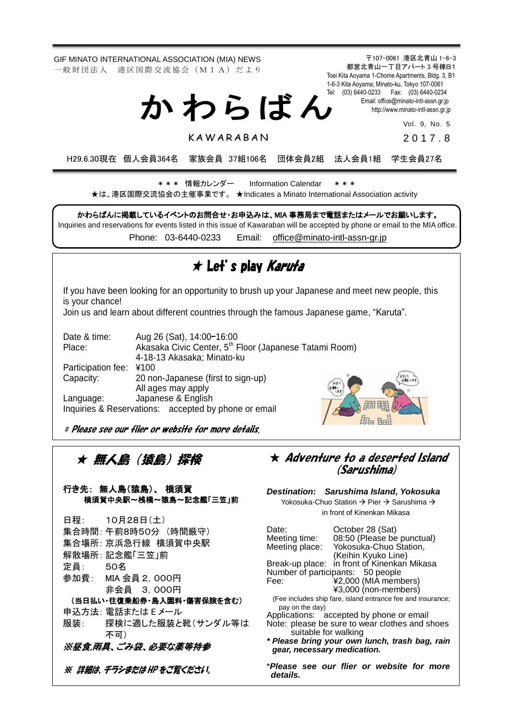GIF MINATO INTERNATIONAL ASSOCIATION (MIA) NEWS 一 般 財 団 法 人 港 区 国 際 交 流 協 会 (M I A) だ よ り

か わ ら ば ん

**KAWARABAN** 

〒107-0061 港区北青山 1-6-3 都営北青山一丁目アパート 3 号棟B1 Toei Kita Aoyama 1-Chome Apartments, Bldg. 3, B1 1-6-3 Kita Aoyama; Minato-ku, Tokyo 107-0061 Tel: (03) 6440-0233 Fax: (03) 6440-0234 Email[: office@minato-intl-assn.gr.jp](mailto:office@minato-intl-assn.gr.jp) [http://www.minato-intl-assn.gr.jp](http://www.minato-intl-assn.gr.jp/)

Vol. 9, No. 5

2 0 1 7 . 8

H29.6.30現在 個人会員364名 家族会員 37組106名 団体会員2組 法人会員1組 学生会員27名

\* \* \* 情報カレンダー Information Calendar \* \* \* ★は、港区国際交流協会の主催事業です。 ★Indicates a Minato International Association activity

かわらばんに掲載しているイベントのお問合せ・お申込みは、MIA 事務局まで電話またはメールでお願いします。

Inquiries and reservations for events listed in this issue of Kawaraban will be accepted by phone or email to the MIA office. Phone: [03-6440-0233](mailto:TEL:%0903-6440-0233) Email: [office@minato-intl-assn-gr.jp](mailto:office@minato-intl-assn-gr.jp)

### ★ Let's play Karuta

If you have been looking for an opportunity to brush up your Japanese and meet new people, this is your chance!

Join us and learn about different countries through the famous Japanese game, "Karuta".

| Date & time:                                         | Aug 26 (Sat), 14:00-16:00                                          |  |
|------------------------------------------------------|--------------------------------------------------------------------|--|
| Place:                                               | Akasaka Civic Center, 5 <sup>th</sup> Floor (Japanese Tatami Room) |  |
|                                                      | 4-18-13 Akasaka; Minato-ku                                         |  |
| Participation fee:                                   | ¥100                                                               |  |
| Capacity:                                            | 20 non-Japanese (first to sign-up)                                 |  |
|                                                      | All ages may apply                                                 |  |
| Language:                                            | Japanese & English                                                 |  |
| Inquiries & Reservations: accepted by phone or email |                                                                    |  |

 $H_{\text{H}_2}$  B  $\sqrt{2}$ 

\* Please see our flier or website for more details.

★ 無人島(猿島)探検

行き先: 無人島(猿島)、 横須賀 横須賀中央駅~桟橋~猿島~記念艦「三笠」前

|                    | 日程: 10月28日(土)             |  |
|--------------------|---------------------------|--|
|                    | 集合時間:午前8時50分 (時間厳守)       |  |
|                    | 集合場所:京浜急行線 横須賀中央駅         |  |
|                    | 解散場所: 記念艦「三笠」前            |  |
| 定員: 50名            |                           |  |
|                    | 参加費: MIA 会員 2, 000円       |  |
|                    | 非会員 3,000円                |  |
|                    | (当日払い・往復乗船券・島入園料・傷害保険を含む) |  |
|                    | 申込方法: 電話または E メール         |  |
| 服装:                | 探検に適した服装と靴(サンダル等は         |  |
|                    | 不可)                       |  |
| ※昼食.雨具、ごみ袋、必要な薬等持参 |                           |  |
|                    | ※ 詳細は、 チラシまたは HP をご覧ください。 |  |

#### $\star$  Adventure to a deserted Island (Sarushima)

*Destination: Sarushima Island, Yokosuka* Yokosuka-Chuo Station  $\rightarrow$  Pier  $\rightarrow$  Sarushima  $\rightarrow$ 

in front of Kinenkan Mikasa

Date: Corober 28 (Sat)<br>Meeting time: 08:50 (Please be Meeting time: 08:50 (Please be punctual)<br>Meeting place: Yokosuka-Chuo Station, Yokosuka-Chuo Station, (Keihin Kyuko Line) Break-up place: in front of Kinenkan Mikasa Number of participants: 50 people Fee: ¥2,000 (MIA members) ¥3,000 (non-members) (Fee includes ship fare, island entrance fee and insurance; pay on the day) Applications: accepted by phone or email Note: please be sure to wear clothes and shoes suitable for walking *\* Please bring your own lunch, trash bag, rain gear, necessary medication.* \**Please see our flier or website for more* 

*details.*